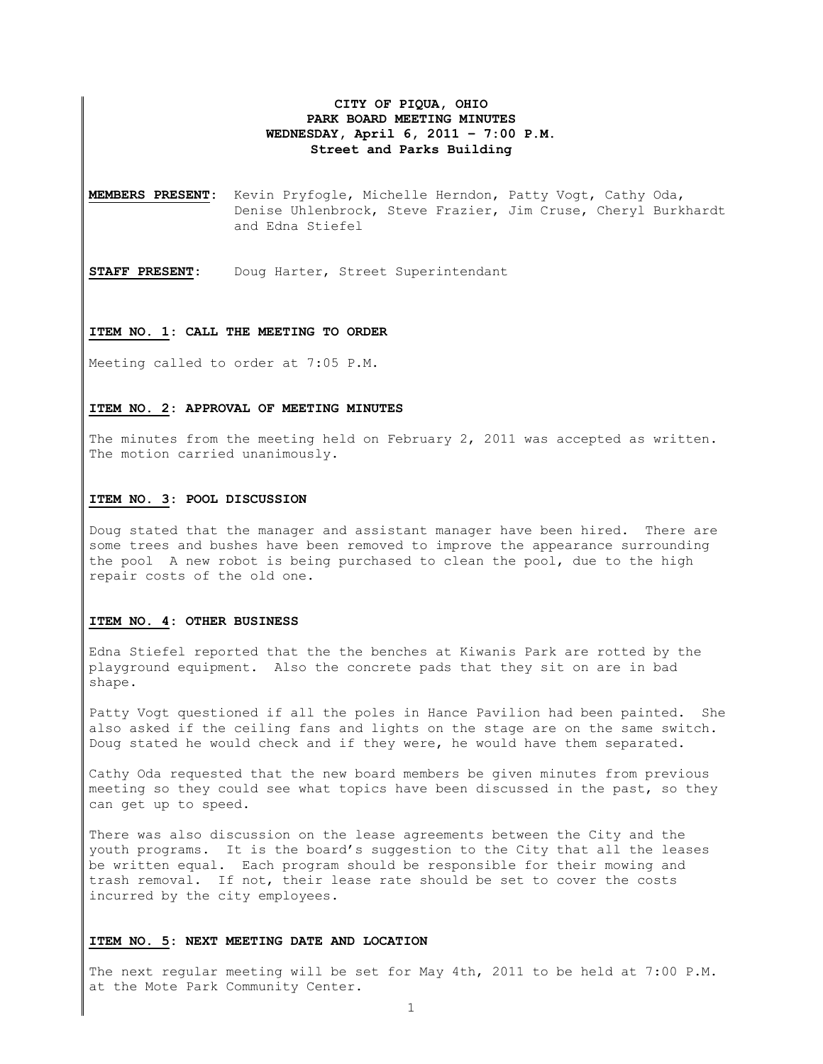## **CITY OF PIQUA, OHIO PARK BOARD MEETING MINUTES WEDNESDAY, April 6, 2011 – 7:00 P.M. Street and Parks Building**

**MEMBERS PRESENT:** Kevin Pryfogle, Michelle Herndon, Patty Vogt, Cathy Oda, Denise Uhlenbrock, Steve Frazier, Jim Cruse, Cheryl Burkhardt and Edna Stiefel

**STAFF PRESENT:** Doug Harter, Street Superintendant

## **ITEM NO. 1: CALL THE MEETING TO ORDER**

Meeting called to order at 7:05 P.M.

## **ITEM NO. 2: APPROVAL OF MEETING MINUTES**

The minutes from the meeting held on February 2, 2011 was accepted as written. The motion carried unanimously.

#### **ITEM NO. 3: POOL DISCUSSION**

Doug stated that the manager and assistant manager have been hired. There are some trees and bushes have been removed to improve the appearance surrounding the pool A new robot is being purchased to clean the pool, due to the high repair costs of the old one.

## **ITEM NO. 4: OTHER BUSINESS**

Edna Stiefel reported that the the benches at Kiwanis Park are rotted by the playground equipment. Also the concrete pads that they sit on are in bad shape.

Patty Vogt questioned if all the poles in Hance Pavilion had been painted. She also asked if the ceiling fans and lights on the stage are on the same switch. Doug stated he would check and if they were, he would have them separated.

Cathy Oda requested that the new board members be given minutes from previous meeting so they could see what topics have been discussed in the past, so they can get up to speed.

There was also discussion on the lease agreements between the City and the youth programs. It is the board's suggestion to the City that all the leases be written equal. Each program should be responsible for their mowing and trash removal. If not, their lease rate should be set to cover the costs incurred by the city employees.

## **ITEM NO. 5: NEXT MEETING DATE AND LOCATION**

The next regular meeting will be set for May 4th, 2011 to be held at 7:00 P.M. at the Mote Park Community Center.